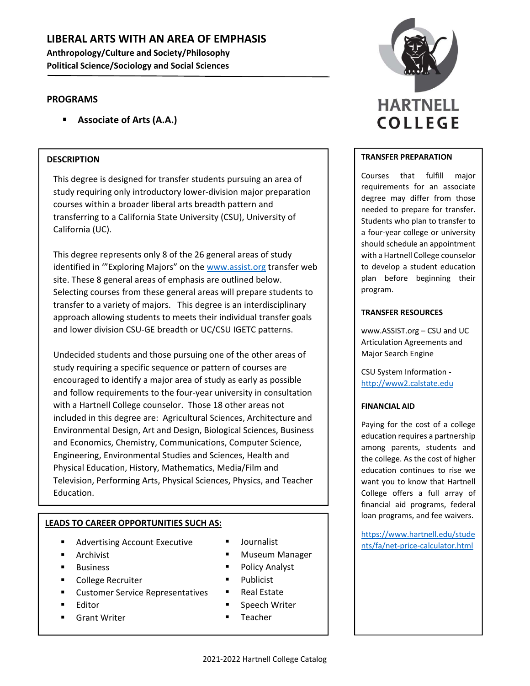# **LIBERAL ARTS WITH AN AREA OF EMPHASIS**

**Anthropology/Culture and Society/Philosophy Political Science/Sociology and Social Sciences**

### **PROGRAMS**

**Associate of Arts (A.A.)**

### **DESCRIPTION**

This degree is designed for transfer students pursuing an area of study requiring only introductory lower‐division major preparation courses within a broader liberal arts breadth pattern and transferring to a California State University (CSU), University of California (UC).

This degree represents only 8 of the 26 general areas of study identified in "Exploring Majors" on the www.assist.org transfer web site. These 8 general areas of emphasis are outlined below. Selecting courses from these general areas will prepare students to transfer to a variety of majors. This degree is an interdisciplinary approach allowing students to meets their individual transfer goals and lower division CSU‐GE breadth or UC/CSU IGETC patterns.

Undecided students and those pursuing one of the other areas of study requiring a specific sequence or pattern of courses are encouraged to identify a major area of study as early as possible and follow requirements to the four‐year university in consultation with a Hartnell College counselor. Those 18 other areas not included in this degree are: Agricultural Sciences, Architecture and Environmental Design, Art and Design, Biological Sciences, Business and Economics, Chemistry, Communications, Computer Science, Engineering, Environmental Studies and Sciences, Health and Physical Education, History, Mathematics, Media/Film and Television, Performing Arts, Physical Sciences, Physics, and Teacher Education.

#### **LEADS TO CAREER OPPORTUNITIES SUCH AS:**

- Advertising Account Executive
- **Archivist**
- Business
- College Recruiter
- Customer Service Representatives
- Editor
- Grant Writer
- 
- Museum Manager
- **Policy Analyst**
- **Publicist**
- Real Estate
- **Speech Writer**
- Teacher



#### **TRANSFER PREPARATION**

Courses that fulfill major requirements for an associate degree may differ from those needed to prepare for transfer. Students who plan to transfer to a four‐year college or university should schedule an appointment with a Hartnell College counselor to develop a student education plan before beginning their program.

#### **TRANSFER RESOURCES**

www.ASSIST.org – CSU and UC Articulation Agreements and Major Search Engine

CSU System Information ‐ http://www2.calstate.edu

#### **FINANCIAL AID**

Paying for the cost of a college education requires a partnership among parents, students and the college. As the cost of higher education continues to rise we want you to know that Hartnell College offers a full array of financial aid programs, federal loan programs, and fee waivers.

https://www.hartnell.edu/stude ■ Journalist<br>■ Museum Manager III hts/fa/net-price-calculator.html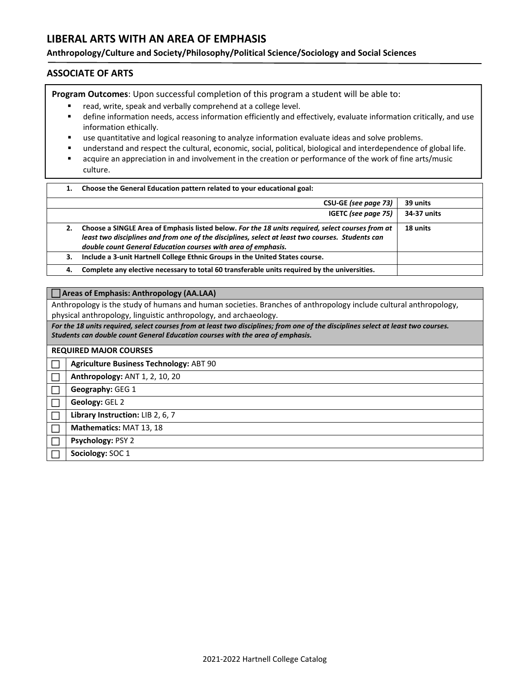# **LIBERAL ARTS WITH AN AREA OF EMPHASIS**

#### **Anthropology/Culture and Society/Philosophy/Political Science/Sociology and Social Sciences**

#### **ASSOCIATE OF ARTS**

**Program Outcomes**: Upon successful completion of this program a student will be able to:

- read, write, speak and verbally comprehend at a college level.
- define information needs, access information efficiently and effectively, evaluate information critically, and use information ethically.
- use quantitative and logical reasoning to analyze information evaluate ideas and solve problems.
- understand and respect the cultural, economic, social, political, biological and interdependence of global life.
- acquire an appreciation in and involvement in the creation or performance of the work of fine arts/music culture.

|    | Choose the General Education pattern related to your educational goal:                                                                                                                                                                                                |             |
|----|-----------------------------------------------------------------------------------------------------------------------------------------------------------------------------------------------------------------------------------------------------------------------|-------------|
|    | CSU-GE (see page 73)                                                                                                                                                                                                                                                  | 39 units    |
|    | IGETC (see page 75)                                                                                                                                                                                                                                                   | 34-37 units |
|    | Choose a SINGLE Area of Emphasis listed below. For the 18 units required, select courses from at<br>least two disciplines and from one of the disciplines, select at least two courses. Students can<br>double count General Education courses with area of emphasis. | 18 units    |
| з. | Include a 3-unit Hartnell College Ethnic Groups in the United States course.                                                                                                                                                                                          |             |
| 4. | Complete any elective necessary to total 60 transferable units required by the universities.                                                                                                                                                                          |             |

#### **Areas of Emphasis: Anthropology (AA.LAA)**

Anthropology is the study of humans and human societies. Branches of anthropology include cultural anthropology, physical anthropology, linguistic anthropology, and archaeology.

For the 18 units required, select courses from at least two disciplines; from one of the disciplines select at least two courses. *Students can double count General Education courses with the area of emphasis.*

| <b>REQUIRED MAJOR COURSES</b> |                                                |  |
|-------------------------------|------------------------------------------------|--|
|                               | <b>Agriculture Business Technology: ABT 90</b> |  |
|                               | Anthropology: ANT 1, 2, 10, 20                 |  |
|                               | Geography: GEG 1                               |  |
|                               | Geology: GEL 2                                 |  |
|                               | Library Instruction: LIB 2, 6, 7               |  |
|                               | Mathematics: MAT 13, 18                        |  |
|                               | Psychology: PSY 2                              |  |
|                               | Sociology: SOC 1                               |  |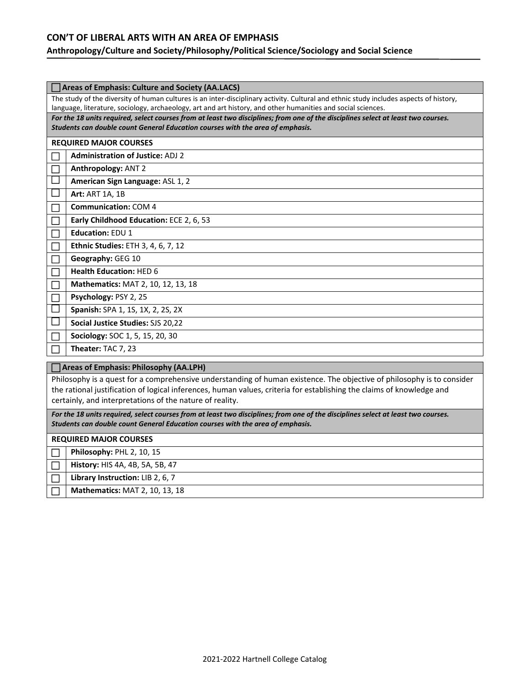### **CON'T OF LIBERAL ARTS WITH AN AREA OF EMPHASIS**

## **Anthropology/Culture and Society/Philosophy/Political Science/Sociology and Social Science**

| Areas of Emphasis: Culture and Society (AA.LACS)                                                                                                                                                                    |                                                                                                                        |  |  |  |
|---------------------------------------------------------------------------------------------------------------------------------------------------------------------------------------------------------------------|------------------------------------------------------------------------------------------------------------------------|--|--|--|
| The study of the diversity of human cultures is an inter-disciplinary activity. Cultural and ethnic study includes aspects of history,                                                                              |                                                                                                                        |  |  |  |
| language, literature, sociology, archaeology, art and art history, and other humanities and social sciences.                                                                                                        |                                                                                                                        |  |  |  |
| For the 18 units required, select courses from at least two disciplines; from one of the disciplines select at least two courses.<br>Students can double count General Education courses with the area of emphasis. |                                                                                                                        |  |  |  |
|                                                                                                                                                                                                                     |                                                                                                                        |  |  |  |
| <b>REQUIRED MAJOR COURSES</b>                                                                                                                                                                                       |                                                                                                                        |  |  |  |
|                                                                                                                                                                                                                     | <b>Administration of Justice: ADJ 2</b>                                                                                |  |  |  |
|                                                                                                                                                                                                                     | Anthropology: ANT 2                                                                                                    |  |  |  |
|                                                                                                                                                                                                                     | American Sign Language: ASL 1, 2                                                                                       |  |  |  |
|                                                                                                                                                                                                                     | <b>Art: ART 1A, 1B</b>                                                                                                 |  |  |  |
|                                                                                                                                                                                                                     | <b>Communication: COM 4</b>                                                                                            |  |  |  |
|                                                                                                                                                                                                                     | Early Childhood Education: ECE 2, 6, 53                                                                                |  |  |  |
|                                                                                                                                                                                                                     | <b>Education: EDU 1</b>                                                                                                |  |  |  |
|                                                                                                                                                                                                                     | Ethnic Studies: ETH 3, 4, 6, 7, 12                                                                                     |  |  |  |
|                                                                                                                                                                                                                     | Geography: GEG 10                                                                                                      |  |  |  |
|                                                                                                                                                                                                                     | <b>Health Education: HED 6</b>                                                                                         |  |  |  |
|                                                                                                                                                                                                                     | Mathematics: MAT 2, 10, 12, 13, 18                                                                                     |  |  |  |
|                                                                                                                                                                                                                     | Psychology: PSY 2, 25                                                                                                  |  |  |  |
|                                                                                                                                                                                                                     | Spanish: SPA 1, 1S, 1X, 2, 2S, 2X                                                                                      |  |  |  |
|                                                                                                                                                                                                                     | Social Justice Studies: SJS 20,22                                                                                      |  |  |  |
|                                                                                                                                                                                                                     | Sociology: SOC 1, 5, 15, 20, 30                                                                                        |  |  |  |
|                                                                                                                                                                                                                     | Theater: TAC 7, 23                                                                                                     |  |  |  |
|                                                                                                                                                                                                                     | <b>Areas of Emphasis: Philosophy (AA.LPH)</b>                                                                          |  |  |  |
|                                                                                                                                                                                                                     | Philosophy is a quest for a comprehensive understanding of human existence. The objective of philosophy is to consider |  |  |  |
|                                                                                                                                                                                                                     | the rational justification of logical inferences, human values, criteria for establishing the claims of knowledge and  |  |  |  |
|                                                                                                                                                                                                                     | certainly, and interpretations of the nature of reality.                                                               |  |  |  |
| For the 18 units required, select courses from at least two disciplines; from one of the disciplines select at least two courses.                                                                                   |                                                                                                                        |  |  |  |
|                                                                                                                                                                                                                     | Students can double count General Education courses with the area of emphasis.                                         |  |  |  |
| <b>REQUIRED MAJOR COURSES</b>                                                                                                                                                                                       |                                                                                                                        |  |  |  |
|                                                                                                                                                                                                                     | Philosophy: PHL 2, 10, 15                                                                                              |  |  |  |
|                                                                                                                                                                                                                     | History: HIS 4A, 4B, 5A, 5B, 47                                                                                        |  |  |  |
|                                                                                                                                                                                                                     | Library Instruction: LIB 2, 6, 7                                                                                       |  |  |  |
|                                                                                                                                                                                                                     | Mathematics: MAT 2, 10, 13, 18                                                                                         |  |  |  |